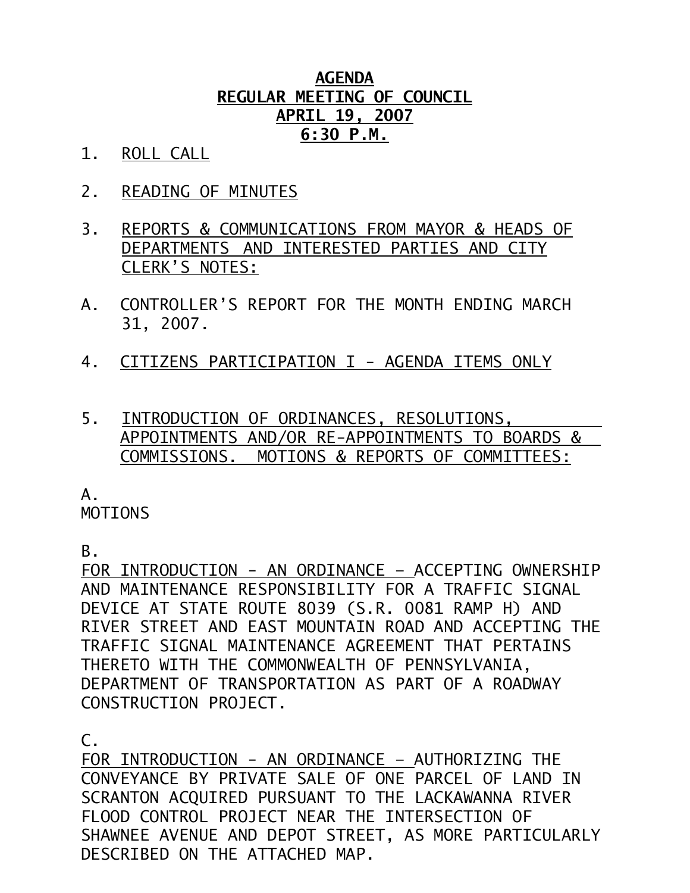## **AGENDA REGULAR MEETING OF COUNCIL APRIL 19, 2007 6:30 P.M.**

- 1. ROLL CALL
- 2. READING OF MINUTES
- 3. REPORTS & COMMUNICATIONS FROM MAYOR & HEADS OF DEPARTMENTS AND INTERESTED PARTIES AND CITY CLERK'S NOTES:
- A. CONTROLLER'S REPORT FOR THE MONTH ENDING MARCH 31, 2007.
- 4. CITIZENS PARTICIPATION I AGENDA ITEMS ONLY
- 5. INTRODUCTION OF ORDINANCES, RESOLUTIONS, APPOINTMENTS AND/OR RE-APPOINTMENTS TO BOARDS & COMMISSIONS. MOTIONS & REPORTS OF COMMITTEES:

 $A<sub>-</sub>$ 

MOTIONS

B.

FOR INTRODUCTION - AN ORDINANCE – ACCEPTING OWNERSHIP AND MAINTENANCE RESPONSIBILITY FOR A TRAFFIC SIGNAL DEVICE AT STATE ROUTE 8039 (S.R. 0081 RAMP H) AND RIVER STREET AND EAST MOUNTAIN ROAD AND ACCEPTING THE TRAFFIC SIGNAL MAINTENANCE AGREEMENT THAT PERTAINS THERETO WITH THE COMMONWEALTH OF PENNSYLVANIA, DEPARTMENT OF TRANSPORTATION AS PART OF A ROADWAY CONSTRUCTION PROJECT.

 $\mathsf{C}$ .

FOR INTRODUCTION - AN ORDINANCE – AUTHORIZING THE CONVEYANCE BY PRIVATE SALE OF ONE PARCEL OF LAND IN SCRANTON ACQUIRED PURSUANT TO THE LACKAWANNA RIVER FLOOD CONTROL PROJECT NEAR THE INTERSECTION OF SHAWNEE AVENUE AND DEPOT STREET, AS MORE PARTICULARLY DESCRIBED ON THE ATTACHED MAP.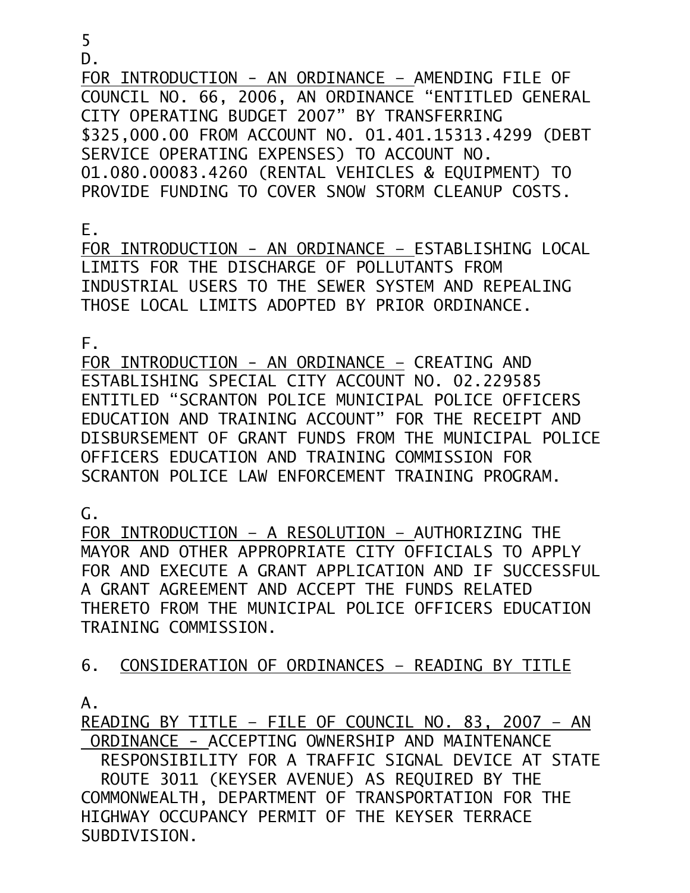D.

FOR INTRODUCTION - AN ORDINANCE – AMENDING FILE OF COUNCIL NO. 66, 2006, AN ORDINANCE "ENTITLED GENERAL CITY OPERATING BUDGET 2007" BY TRANSFERRING \$325,000.00 FROM ACCOUNT NO. 01.401.15313.4299 (DEBT SERVICE OPERATING EXPENSES) TO ACCOUNT NO. 01.080.00083.4260 (RENTAL VEHICLES & EQUIPMENT) TO PROVIDE FUNDING TO COVER SNOW STORM CLEANUP COSTS.

E.

FOR INTRODUCTION - AN ORDINANCE – ESTABLISHING LOCAL LIMITS FOR THE DISCHARGE OF POLLUTANTS FROM INDUSTRIAL USERS TO THE SEWER SYSTEM AND REPEALING THOSE LOCAL LIMITS ADOPTED BY PRIOR ORDINANCE.

F.

FOR INTRODUCTION - AN ORDINANCE – CREATING AND ESTABLISHING SPECIAL CITY ACCOUNT NO. 02.229585 ENTITLED "SCRANTON POLICE MUNICIPAL POLICE OFFICERS EDUCATION AND TRAINING ACCOUNT" FOR THE RECEIPT AND DISBURSEMENT OF GRANT FUNDS FROM THE MUNICIPAL POLICE OFFICERS EDUCATION AND TRAINING COMMISSION FOR SCRANTON POLICE LAW ENFORCEMENT TRAINING PROGRAM.

 $\mathsf{G}$ .

FOR INTRODUCTION – A RESOLUTION – AUTHORIZING THE MAYOR AND OTHER APPROPRIATE CITY OFFICIALS TO APPLY FOR AND EXECUTE A GRANT APPLICATION AND IF SUCCESSFUL A GRANT AGREEMENT AND ACCEPT THE FUNDS RELATED THERETO FROM THE MUNICIPAL POLICE OFFICERS EDUCATION TRAINING COMMISSION.

6. CONSIDERATION OF ORDINANCES – READING BY TITLE

A.

READING BY TITLE – FILE OF COUNCIL NO. 83, 2007 – AN ORDINANCE - ACCEPTING OWNERSHIP AND MAINTENANCE RESPONSIBILITY FOR A TRAFFIC SIGNAL DEVICE AT STATE ROUTE 3011 (KEYSER AVENUE) AS REQUIRED BY THE COMMONWEALTH, DEPARTMENT OF TRANSPORTATION FOR THE

HIGHWAY OCCUPANCY PERMIT OF THE KEYSER TERRACE SUBDIVISION.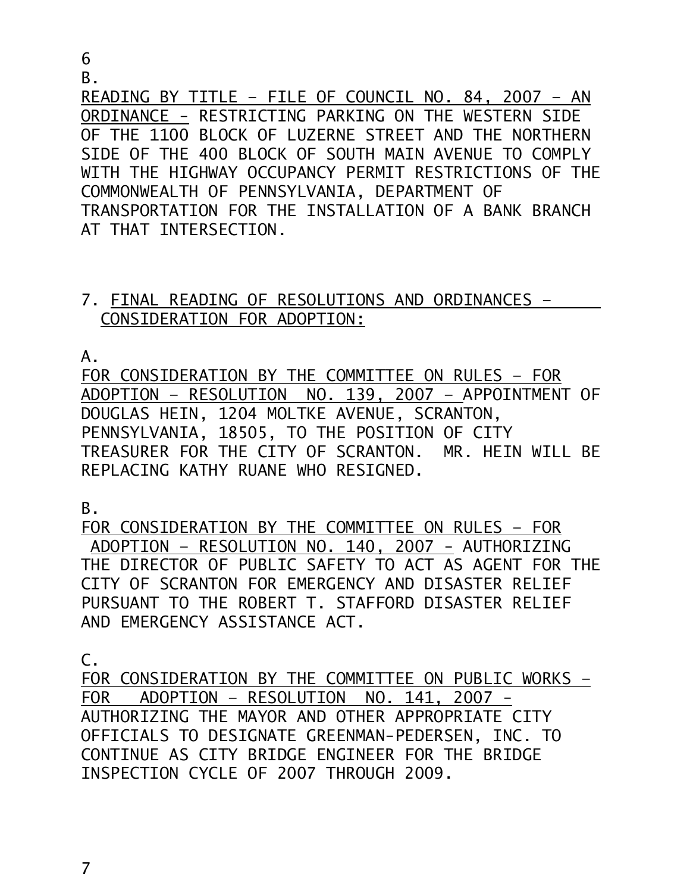6

B.

READING BY TITLE – FILE OF COUNCIL NO. 84, 2007 – AN ORDINANCE - RESTRICTING PARKING ON THE WESTERN SIDE OF THE 1100 BLOCK OF LUZERNE STREET AND THE NORTHERN SIDE OF THE 400 BLOCK OF SOUTH MAIN AVENUE TO COMPLY WITH THE HIGHWAY OCCUPANCY PERMIT RESTRICTIONS OF THE COMMONWEALTH OF PENNSYLVANIA, DEPARTMENT OF TRANSPORTATION FOR THE INSTALLATION OF A BANK BRANCH AT THAT INTERSECTION.

## 7. FINAL READING OF RESOLUTIONS AND ORDINANCES – CONSIDERATION FOR ADOPTION:

A.

FOR CONSIDERATION BY THE COMMITTEE ON RULES – FOR ADOPTION – RESOLUTION NO. 139, 2007 – APPOINTMENT OF DOUGLAS HEIN, 1204 MOLTKE AVENUE, SCRANTON, PENNSYLVANIA, 18505, TO THE POSITION OF CITY TREASURER FOR THE CITY OF SCRANTON. MR. HEIN WILL BE REPLACING KATHY RUANE WHO RESIGNED.

B.

FOR CONSIDERATION BY THE COMMITTEE ON RULES – FOR ADOPTION – RESOLUTION NO. 140, 2007 - AUTHORIZING THE DIRECTOR OF PUBLIC SAFETY TO ACT AS AGENT FOR THE CITY OF SCRANTON FOR EMERGENCY AND DISASTER RELIEF PURSUANT TO THE ROBERT T. STAFFORD DISASTER RELIEF AND EMERGENCY ASSISTANCE ACT.

C.

FOR CONSIDERATION BY THE COMMITTEE ON PUBLIC WORKS – FOR ADOPTION – RESOLUTION NO. 141, 2007 - AUTHORIZING THE MAYOR AND OTHER APPROPRIATE CITY OFFICIALS TO DESIGNATE GREENMAN-PEDERSEN, INC. TO CONTINUE AS CITY BRIDGE ENGINEER FOR THE BRIDGE INSPECTION CYCLE OF 2007 THROUGH 2009.